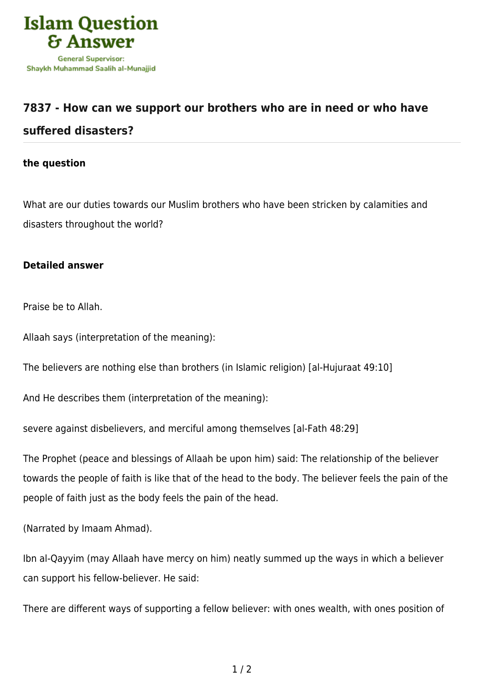

## **[7837 - How can we support our brothers who are in need or who have](https://islamqa.com/en/answers/7837/how-can-we-support-our-brothers-who-are-in-need-or-who-have-suffered-disasters)**

## **[suffered disasters?](https://islamqa.com/en/answers/7837/how-can-we-support-our-brothers-who-are-in-need-or-who-have-suffered-disasters)**

## **the question**

What are our duties towards our Muslim brothers who have been stricken by calamities and disasters throughout the world?

## **Detailed answer**

Praise be to Allah.

Allaah says (interpretation of the meaning):

The believers are nothing else than brothers (in Islamic religion) [al-Hujuraat 49:10]

And He describes them (interpretation of the meaning):

severe against disbelievers, and merciful among themselves [al-Fath 48:29]

The Prophet (peace and blessings of Allaah be upon him) said: The relationship of the believer towards the people of faith is like that of the head to the body. The believer feels the pain of the people of faith just as the body feels the pain of the head.

(Narrated by Imaam Ahmad).

Ibn al-Qayyim (may Allaah have mercy on him) neatly summed up the ways in which a believer can support his fellow-believer. He said:

There are different ways of supporting a fellow believer: with ones wealth, with ones position of